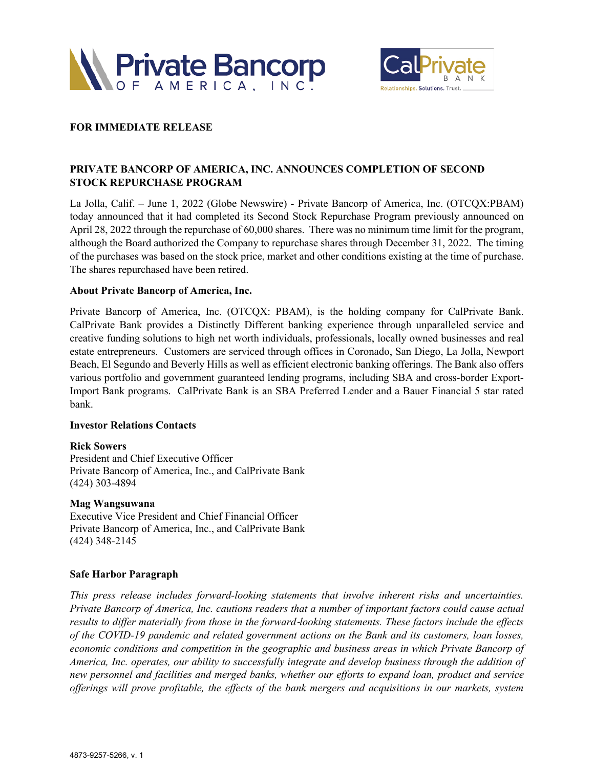



## **FOR IMMEDIATE RELEASE**

# **PRIVATE BANCORP OF AMERICA, INC. ANNOUNCES COMPLETION OF SECOND STOCK REPURCHASE PROGRAM**

La Jolla, Calif. – June 1, 2022 (Globe Newswire) - Private Bancorp of America, Inc. (OTCQX:PBAM) today announced that it had completed its Second Stock Repurchase Program previously announced on April 28, 2022 through the repurchase of 60,000 shares. There was no minimum time limit for the program, although the Board authorized the Company to repurchase shares through December 31, 2022. The timing of the purchases was based on the stock price, market and other conditions existing at the time of purchase. The shares repurchased have been retired.

#### **About Private Bancorp of America, Inc.**

Private Bancorp of America, Inc. (OTCQX: PBAM), is the holding company for CalPrivate Bank. CalPrivate Bank provides a Distinctly Different banking experience through unparalleled service and creative funding solutions to high net worth individuals, professionals, locally owned businesses and real estate entrepreneurs. Customers are serviced through offices in Coronado, San Diego, La Jolla, Newport Beach, El Segundo and Beverly Hills as well as efficient electronic banking offerings. The Bank also offers various portfolio and government guaranteed lending programs, including SBA and cross-border Export-Import Bank programs. CalPrivate Bank is an SBA Preferred Lender and a Bauer Financial 5 star rated bank.

#### **Investor Relations Contacts**

#### **Rick Sowers**

President and Chief Executive Officer Private Bancorp of America, Inc., and CalPrivate Bank (424) 303-4894

#### **Mag Wangsuwana**

Executive Vice President and Chief Financial Officer Private Bancorp of America, Inc., and CalPrivate Bank (424) 348-2145

### **Safe Harbor Paragraph**

*This press release includes forward-looking statements that involve inherent risks and uncertainties. Private Bancorp of America, Inc. cautions readers that a number of important factors could cause actual results to differ materially from those in the forward*-*looking statements. These factors include the effects of the COVID-19 pandemic and related government actions on the Bank and its customers, loan losses, economic conditions and competition in the geographic and business areas in which Private Bancorp of America, Inc. operates, our ability to successfully integrate and develop business through the addition of new personnel and facilities and merged banks, whether our efforts to expand loan, product and service offerings will prove profitable, the effects of the bank mergers and acquisitions in our markets, system*